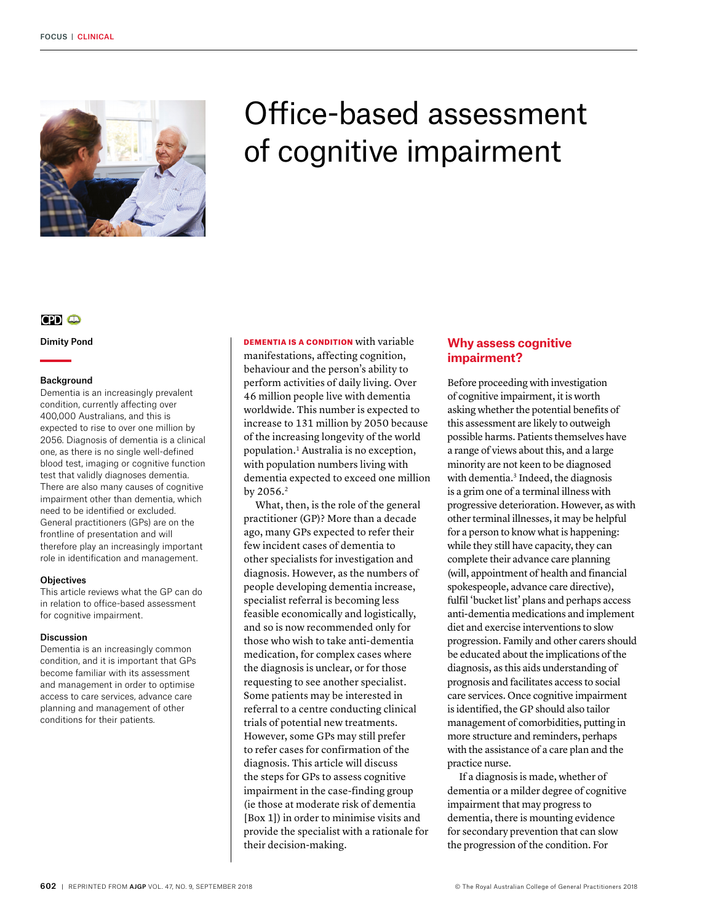

# Office-based assessment of cognitive impairment

# **CPD CD**

Dimity Pond

## Background

Dementia is an increasingly prevalent condition, currently affecting over 400,000 Australians, and this is expected to rise to over one million by 2056. Diagnosis of dementia is a clinical one, as there is no single well-defined blood test, imaging or cognitive function test that validly diagnoses dementia. There are also many causes of cognitive impairment other than dementia, which need to be identified or excluded. General practitioners (GPs) are on the frontline of presentation and will therefore play an increasingly important role in identification and management.

#### **Objectives**

This article reviews what the GP can do in relation to office-based assessment for cognitive impairment.

#### Discussion

Dementia is an increasingly common condition, and it is important that GPs become familiar with its assessment and management in order to optimise access to care services, advance care planning and management of other conditions for their patients.

DEMENTIA IS A CONDITION with variable manifestations, affecting cognition, behaviour and the person's ability to perform activities of daily living. Over 46 million people live with dementia worldwide. This number is expected to increase to 131 million by 2050 because of the increasing longevity of the world population.1 Australia is no exception, with population numbers living with dementia expected to exceed one million by 2056.2

What, then, is the role of the general practitioner (GP)? More than a decade ago, many GPs expected to refer their few incident cases of dementia to other specialists for investigation and diagnosis. However, as the numbers of people developing dementia increase, specialist referral is becoming less feasible economically and logistically, and so is now recommended only for those who wish to take anti-dementia medication, for complex cases where the diagnosis is unclear, or for those requesting to see another specialist. Some patients may be interested in referral to a centre conducting clinical trials of potential new treatments. However, some GPs may still prefer to refer cases for confirmation of the diagnosis. This article will discuss the steps for GPs to assess cognitive impairment in the case-finding group (ie those at moderate risk of dementia [Box 1]) in order to minimise visits and provide the specialist with a rationale for their decision-making.

# **Why assess cognitive impairment?**

Before proceeding with investigation of cognitive impairment, it is worth asking whether the potential benefits of this assessment are likely to outweigh possible harms. Patients themselves have a range of views about this, and a large minority are not keen to be diagnosed with dementia.<sup>3</sup> Indeed, the diagnosis is a grim one of a terminal illness with progressive deterioration. However, as with other terminal illnesses, it may be helpful for a person to know what is happening: while they still have capacity, they can complete their advance care planning (will, appointment of health and financial spokespeople, advance care directive), fulfil 'bucket list' plans and perhaps access anti-dementia medications and implement diet and exercise interventions to slow progression. Family and other carers should be educated about the implications of the diagnosis, as this aids understanding of prognosis and facilitates access to social care services. Once cognitive impairment is identified, the GP should also tailor management of comorbidities, putting in more structure and reminders, perhaps with the assistance of a care plan and the practice nurse.

If a diagnosis is made, whether of dementia or a milder degree of cognitive impairment that may progress to dementia, there is mounting evidence for secondary prevention that can slow the progression of the condition. For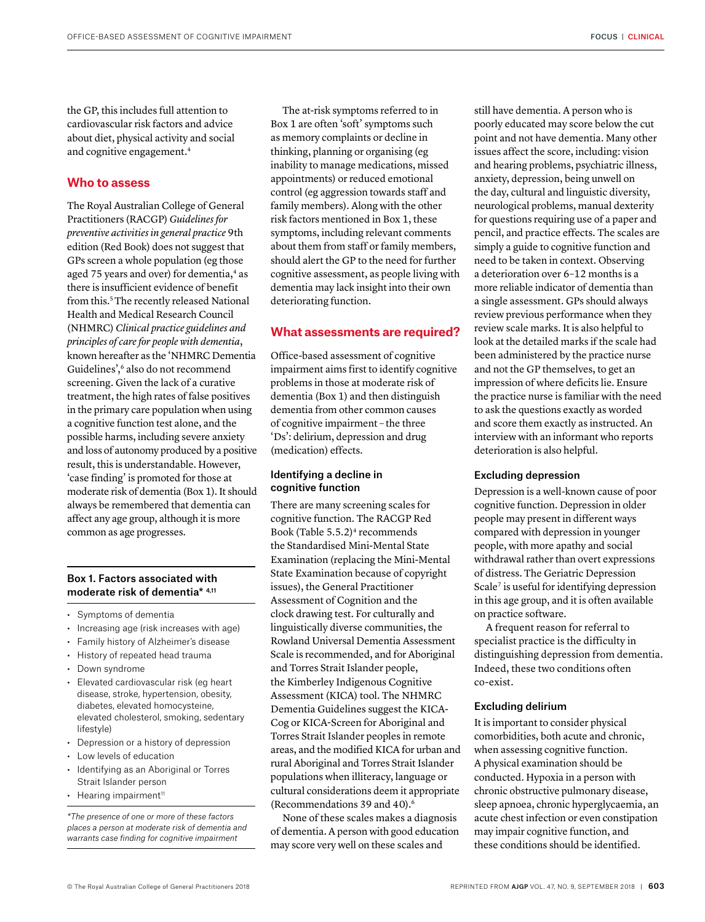the GP, this includes full attention to cardiovascular risk factors and advice about diet, physical activity and social and cognitive engagement.4

# **Who to assess**

The Royal Australian College of General Practitioners (RACGP) *Guidelines for preventive activities in general practice* 9th edition (Red Book) does not suggest that GPs screen a whole population (eg those aged 75 years and over) for dementia,<sup>4</sup> as there is insufficient evidence of benefit from this.<sup>5</sup> The recently released National Health and Medical Research Council (NHMRC) *Clinical practice guidelines and principles of care for people with dementia*, known hereafter as the 'NHMRC Dementia Guidelines',<sup>6</sup> also do not recommend screening. Given the lack of a curative treatment, the high rates of false positives in the primary care population when using a cognitive function test alone, and the possible harms, including severe anxiety and loss of autonomy produced by a positive result, this is understandable. However, 'case finding' is promoted for those at moderate risk of dementia (Box 1). It should always be remembered that dementia can affect any age group, although it is more common as age progresses.

## Box 1. Factors associated with moderate risk of dementia\* 4,11

- Symptoms of dementia
- Increasing age (risk increases with age)
- Family history of Alzheimer's disease
- History of repeated head trauma
- Down syndrome
- Elevated cardiovascular risk (eg heart disease, stroke, hypertension, obesity, diabetes, elevated homocysteine, elevated cholesterol, smoking, sedentary lifestyle)
- Depression or a history of depression
- Low levels of education
- Identifying as an Aboriginal or Torres Strait Islander person
- $\cdot$  Hearing impairment<sup>11</sup>

*\*The presence of one or more of these factors places a person at moderate risk of dementia and warrants case finding for cognitive impairment* 

The at-risk symptoms referred to in Box 1 are often 'soft' symptoms such as memory complaints or decline in thinking, planning or organising (eg inability to manage medications, missed appointments) or reduced emotional control (eg aggression towards staff and family members). Along with the other risk factors mentioned in Box 1, these symptoms, including relevant comments about them from staff or family members, should alert the GP to the need for further cognitive assessment, as people living with dementia may lack insight into their own deteriorating function.

#### **What assessments are required?**

Office-based assessment of cognitive impairment aims first to identify cognitive problems in those at moderate risk of dementia (Box 1) and then distinguish dementia from other common causes of cognitive impairment – the three 'Ds': delirium, depression and drug (medication) effects.

### Identifying a decline in cognitive function

There are many screening scales for cognitive function. The RACGP Red Book (Table 5.5.2)4 recommends the Standardised Mini-Mental State Examination (replacing the Mini-Mental State Examination because of copyright issues), the General Practitioner Assessment of Cognition and the clock drawing test. For culturally and linguistically diverse communities, the Rowland Universal Dementia Assessment Scale is recommended, and for Aboriginal and Torres Strait Islander people, the Kimberley Indigenous Cognitive Assessment (KICA) tool. The NHMRC Dementia Guidelines suggest the KICA-Cog or KICA-Screen for Aboriginal and Torres Strait Islander peoples in remote areas, and the modified KICA for urban and rural Aboriginal and Torres Strait Islander populations when illiteracy, language or cultural considerations deem it appropriate (Recommendations 39 and 40).6

None of these scales makes a diagnosis of dementia. A person with good education may score very well on these scales and

still have dementia. A person who is poorly educated may score below the cut point and not have dementia. Many other issues affect the score, including: vision and hearing problems, psychiatric illness, anxiety, depression, being unwell on the day, cultural and linguistic diversity, neurological problems, manual dexterity for questions requiring use of a paper and pencil, and practice effects. The scales are simply a guide to cognitive function and need to be taken in context. Observing a deterioration over 6–12 months is a more reliable indicator of dementia than a single assessment. GPs should always review previous performance when they review scale marks. It is also helpful to look at the detailed marks if the scale had been administered by the practice nurse and not the GP themselves, to get an impression of where deficits lie. Ensure the practice nurse is familiar with the need to ask the questions exactly as worded and score them exactly as instructed. An interview with an informant who reports deterioration is also helpful.

#### Excluding depression

Depression is a well-known cause of poor cognitive function. Depression in older people may present in different ways compared with depression in younger people, with more apathy and social withdrawal rather than overt expressions of distress. The Geriatric Depression Scale<sup>7</sup> is useful for identifying depression in this age group, and it is often available on practice software.

A frequent reason for referral to specialist practice is the difficulty in distinguishing depression from dementia. Indeed, these two conditions often co-exist.

#### Excluding delirium

It is important to consider physical comorbidities, both acute and chronic, when assessing cognitive function. A physical examination should be conducted. Hypoxia in a person with chronic obstructive pulmonary disease, sleep apnoea, chronic hyperglycaemia, an acute chest infection or even constipation may impair cognitive function, and these conditions should be identified.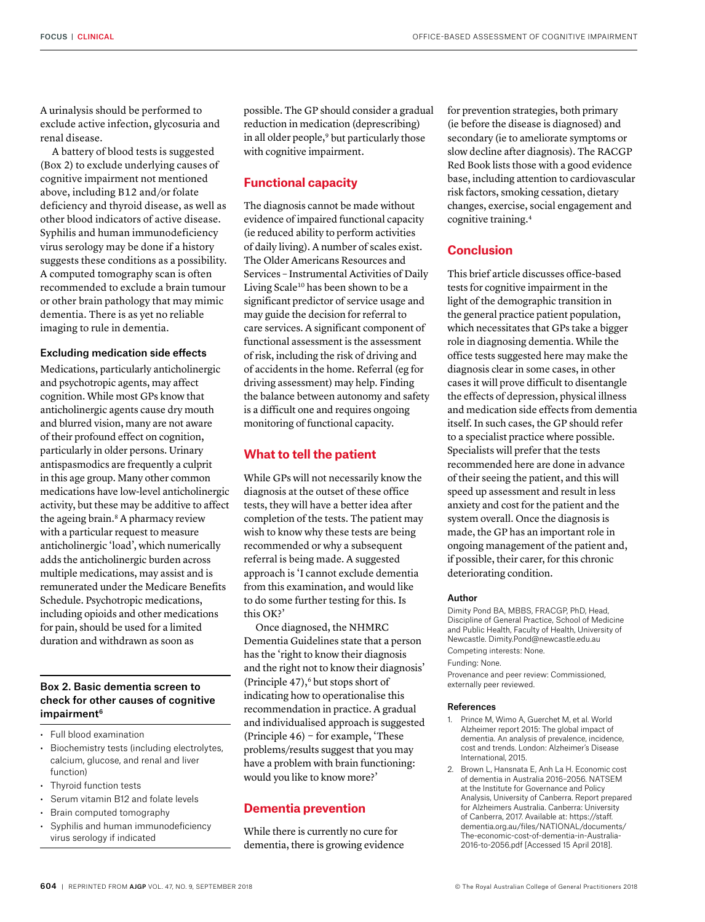A urinalysis should be performed to exclude active infection, glycosuria and renal disease.

A battery of blood tests is suggested (Box 2) to exclude underlying causes of cognitive impairment not mentioned above, including B12 and/or folate deficiency and thyroid disease, as well as other blood indicators of active disease. Syphilis and human immunodeficiency virus serology may be done if a history suggests these conditions as a possibility. A computed tomography scan is often recommended to exclude a brain tumour or other brain pathology that may mimic dementia. There is as yet no reliable imaging to rule in dementia.

#### Excluding medication side effects

Medications, particularly anticholinergic and psychotropic agents, may affect cognition. While most GPs know that anticholinergic agents cause dry mouth and blurred vision, many are not aware of their profound effect on cognition, particularly in older persons. Urinary antispasmodics are frequently a culprit in this age group. Many other common medications have low-level anticholinergic activity, but these may be additive to affect the ageing brain.<sup>8</sup> A pharmacy review with a particular request to measure anticholinergic 'load', which numerically adds the anticholinergic burden across multiple medications, may assist and is remunerated under the Medicare Benefits Schedule. Psychotropic medications, including opioids and other medications for pain, should be used for a limited duration and withdrawn as soon as

# Box 2. Basic dementia screen to check for other causes of cognitive impairment<sup>6</sup>

- Full blood examination
- Biochemistry tests (including electrolytes, calcium, glucose, and renal and liver function)
- Thyroid function tests
- Serum vitamin B12 and folate levels
- Brain computed tomography
- Syphilis and human immunodeficiency virus serology if indicated

possible. The GP should consider a gradual reduction in medication (deprescribing) in all older people,<sup>9</sup> but particularly those with cognitive impairment.

# **Functional capacity**

The diagnosis cannot be made without evidence of impaired functional capacity (ie reduced ability to perform activities of daily living). A number of scales exist. The Older Americans Resources and Services – Instrumental Activities of Daily Living Scale<sup>10</sup> has been shown to be a significant predictor of service usage and may guide the decision for referral to care services. A significant component of functional assessment is the assessment of risk, including the risk of driving and of accidents in the home. Referral (eg for driving assessment) may help. Finding the balance between autonomy and safety is a difficult one and requires ongoing monitoring of functional capacity.

# **What to tell the patient**

While GPs will not necessarily know the diagnosis at the outset of these office tests, they will have a better idea after completion of the tests. The patient may wish to know why these tests are being recommended or why a subsequent referral is being made. A suggested approach is 'I cannot exclude dementia from this examination, and would like to do some further testing for this. Is this OK?'

Once diagnosed, the NHMRC Dementia Guidelines state that a person has the 'right to know their diagnosis and the right not to know their diagnosis' (Principle  $47$ ),<sup>6</sup> but stops short of indicating how to operationalise this recommendation in practice. A gradual and individualised approach is suggested (Principle 46) − for example, 'These problems/results suggest that you may have a problem with brain functioning: would you like to know more?'

# **Dementia prevention**

While there is currently no cure for dementia, there is growing evidence for prevention strategies, both primary (ie before the disease is diagnosed) and secondary (ie to ameliorate symptoms or slow decline after diagnosis). The RACGP Red Book lists those with a good evidence base, including attention to cardiovascular risk factors, smoking cessation, dietary changes, exercise, social engagement and cognitive training.4

# **Conclusion**

This brief article discusses office-based tests for cognitive impairment in the light of the demographic transition in the general practice patient population, which necessitates that GPs take a bigger role in diagnosing dementia. While the office tests suggested here may make the diagnosis clear in some cases, in other cases it will prove difficult to disentangle the effects of depression, physical illness and medication side effects from dementia itself. In such cases, the GP should refer to a specialist practice where possible. Specialists will prefer that the tests recommended here are done in advance of their seeing the patient, and this will speed up assessment and result in less anxiety and cost for the patient and the system overall. Once the diagnosis is made, the GP has an important role in ongoing management of the patient and, if possible, their carer, for this chronic deteriorating condition.

#### Author

Dimity Pond BA, MBBS, FRACGP, PhD, Head, Discipline of General Practice, School of Medicine and Public Health, Faculty of Health, University of Newcastle. [Dimity.Pond@newcastle.edu.au](mailto:Dimity.Pond@newcastle.edu.au) Competing interests: None. Funding: None. Provenance and peer review: Commissioned, externally peer reviewed.

#### References

- 1. Prince M, Wimo A, Guerchet M, et al. World Alzheimer report 2015: The global impact of dementia. An analysis of prevalence, incidence, cost and trends. London: Alzheimer's Disease International, 2015.
- 2. Brown L, Hansnata E, Anh La H. Economic cost of dementia in Australia 2016–2056. NATSEM at the Institute for Governance and Policy Analysis, University of Canberra. Report prepared for Alzheimers Australia. Canberra: University of Canberra, 2017. Available at: [https://staff.](https://staff.dementia.org.au/files/NATIONAL/documents/The-economic-cost-of-dementia-in-Australia-2016-to-2056.pdf) [dementia.org.au/files/NATIONAL/documents/](https://staff.dementia.org.au/files/NATIONAL/documents/The-economic-cost-of-dementia-in-Australia-2016-to-2056.pdf) [The-economic-cost-of-dementia-in-Australia-](https://staff.dementia.org.au/files/NATIONAL/documents/The-economic-cost-of-dementia-in-Australia-2016-to-2056.pdf)[2016-to-2056.pdf](https://staff.dementia.org.au/files/NATIONAL/documents/The-economic-cost-of-dementia-in-Australia-2016-to-2056.pdf) [Accessed 15 April 2018].